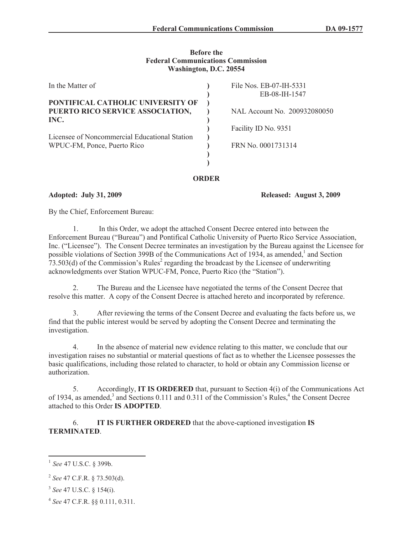#### **Before the Federal Communications Commission Washington, D.C. 20554**

| In the Matter of                                                              | File Nos. EB-07-IH-5331<br>EB-08-IH-1547 |
|-------------------------------------------------------------------------------|------------------------------------------|
| PONTIFICAL CATHOLIC UNIVERSITY OF<br>PUERTO RICO SERVICE ASSOCIATION,<br>INC. | NAL Account No. 200932080050             |
| Licensee of Noncommercial Educational Station<br>WPUC-FM, Ponce, Puerto Rico  | Facility ID No. 9351                     |
|                                                                               | FRN No. 0001731314                       |
|                                                                               |                                          |

**ORDER**

**Adopted: July 31, 2009 Released: August 3, 2009**

By the Chief, Enforcement Bureau:

1. In this Order, we adopt the attached Consent Decree entered into between the Enforcement Bureau ("Bureau") and Pontifical Catholic University of Puerto Rico Service Association, Inc. ("Licensee"). The Consent Decree terminates an investigation by the Bureau against the Licensee for possible violations of Section 399B of the Communications Act of 1934, as amended,<sup>1</sup> and Section  $73.503$ (d) of the Commission's Rules<sup>2</sup> regarding the broadcast by the Licensee of underwriting acknowledgments over Station WPUC-FM, Ponce, Puerto Rico (the "Station").

2. The Bureau and the Licensee have negotiated the terms of the Consent Decree that resolve this matter. A copy of the Consent Decree is attached hereto and incorporated by reference.

3. After reviewing the terms of the Consent Decree and evaluating the facts before us, we find that the public interest would be served by adopting the Consent Decree and terminating the investigation.

4. In the absence of material new evidence relating to this matter, we conclude that our investigation raises no substantial or material questions of fact as to whether the Licensee possesses the basic qualifications, including those related to character, to hold or obtain any Commission license or authorization.

5. Accordingly, **IT IS ORDERED** that, pursuant to Section 4(i) of the Communications Act of 1934, as amended,<sup>3</sup> and Sections 0.111 and 0.311 of the Commission's Rules,<sup>4</sup> the Consent Decree attached to this Order **IS ADOPTED**.

6. **IT IS FURTHER ORDERED** that the above-captioned investigation **IS TERMINATED**.

<sup>1</sup> *See* 47 U.S.C. § 399b.

<sup>2</sup> *See* 47 C.F.R. § 73.503(d).

<sup>3</sup> *See* 47 U.S.C. § 154(i).

<sup>4</sup> *See* 47 C.F.R. §§ 0.111, 0.311.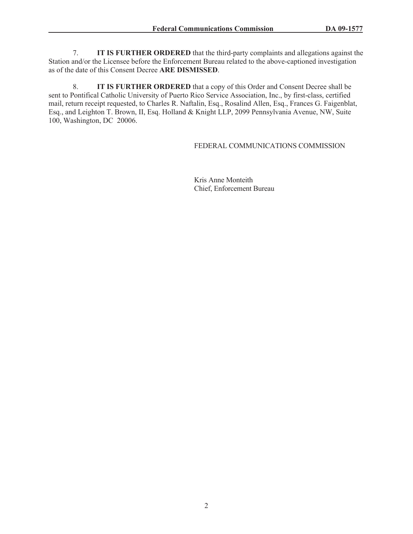7. **IT IS FURTHER ORDERED** that the third-party complaints and allegations against the Station and/or the Licensee before the Enforcement Bureau related to the above-captioned investigation as of the date of this Consent Decree **ARE DISMISSED**.

8. **IT IS FURTHER ORDERED** that a copy of this Order and Consent Decree shall be sent to Pontifical Catholic University of Puerto Rico Service Association, Inc., by first-class, certified mail, return receipt requested, to Charles R. Naftalin, Esq., Rosalind Allen, Esq., Frances G. Faigenblat, Esq., and Leighton T. Brown, II, Esq. Holland & Knight LLP, 2099 Pennsylvania Avenue, NW, Suite 100, Washington, DC 20006.

## FEDERAL COMMUNICATIONS COMMISSION

Kris Anne Monteith Chief, Enforcement Bureau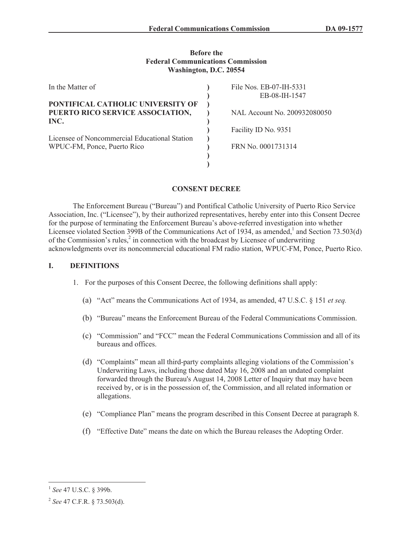#### **Before the Federal Communications Commission Washington, D.C. 20554**

| In the Matter of                              | File Nos. EB-07-IH-5331      |
|-----------------------------------------------|------------------------------|
|                                               | EB-08-IH-1547                |
| PONTIFICAL CATHOLIC UNIVERSITY OF             |                              |
| PUERTO RICO SERVICE ASSOCIATION,              | NAL Account No. 200932080050 |
| INC.                                          |                              |
|                                               | Facility ID No. 9351         |
| Licensee of Noncommercial Educational Station |                              |
| WPUC-FM, Ponce, Puerto Rico                   | FRN No. 0001731314           |
|                                               |                              |
|                                               |                              |

# **CONSENT DECREE**

The Enforcement Bureau ("Bureau") and Pontifical Catholic University of Puerto Rico Service Association, Inc. ("Licensee"), by their authorized representatives, hereby enter into this Consent Decree for the purpose of terminating the Enforcement Bureau's above-referred investigation into whether Licensee violated Section 399B of the Communications Act of 1934, as amended,<sup>1</sup> and Section 73.503(d) of the Commission's rules, $2$  in connection with the broadcast by Licensee of underwriting acknowledgments over its noncommercial educational FM radio station, WPUC-FM, Ponce, Puerto Rico.

### **I. DEFINITIONS**

- 1. For the purposes of this Consent Decree, the following definitions shall apply:
	- (a) "Act" means the Communications Act of 1934, as amended, 47 U.S.C. § 151 *et seq.*
	- (b) "Bureau" means the Enforcement Bureau of the Federal Communications Commission.
	- (c) "Commission" and "FCC" mean the Federal Communications Commission and all of its bureaus and offices.
	- (d) "Complaints" mean all third-party complaints alleging violations of the Commission's Underwriting Laws, including those dated May 16, 2008 and an undated complaint forwarded through the Bureau's August 14, 2008 Letter of Inquiry that may have been received by, or is in the possession of, the Commission, and all related information or allegations.
	- (e) "Compliance Plan" means the program described in this Consent Decree at paragraph 8.
	- (f) "Effective Date" means the date on which the Bureau releases the Adopting Order.

<sup>1</sup> *See* 47 U.S.C. § 399b.

<sup>2</sup> *See* 47 C.F.R. § 73.503(d).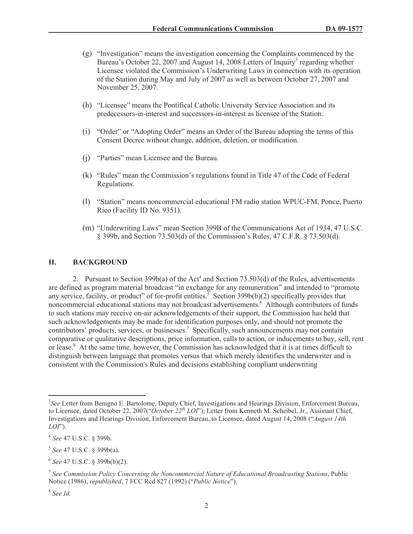- (g) "Investigation" means the investigation concerning the Complaints commenced by the Bureau's October 22, 2007 and August 14, 2008 Letters of Inquiry<sup>3</sup> regarding whether Licensee violated the Commission's Underwriting Laws in connection with its operation of the Station during May and July of 2007 as well as between October 27, 2007 and November 25, 2007.
- (h) "Licensee" means the Pontifical Catholic University Service Association and its predecessors-in-interest and successors-in-interest as licensee of the Station.
- (i) "Order" or "Adopting Order" means an Order of the Bureau adopting the terms of this Consent Decree without change, addition, deletion, or modification.
- (j) "Parties" mean Licensee and the Bureau.
- (k) "Rules" mean the Commission's regulations found in Title 47 of the Code of Federal Regulations.
- (l) "Station" means noncommercial educational FM radio station WPUC-FM, Ponce, Puerto Rico (Facility ID No. 9351).
- (m) "Underwriting Laws" mean Section 399B of the Communications Act of 1934, 47 U.S.C. § 399b, and Section 73.503(d) of the Commission's Rules, 47 C.F.R. § 73.503(d).

#### **II. BACKGROUND**

2. Pursuant to Section  $399b(a)$  of the Act<sup>4</sup> and Section  $73.503(d)$  of the Rules, advertisements are defined as program material broadcast "in exchange for any remuneration" and intended to "promote any service, facility, or product" of for-profit entities.<sup>5</sup> Section 399b(b)(2) specifically provides that noncommercial educational stations may not broadcast advertisements.<sup>6</sup> Although contributors of funds to such stations may receive on-air acknowledgements of their support, the Commission has held that such acknowledgements may be made for identification purposes only, and should not promote the contributors' products, services, or businesses.<sup>7</sup> Specifically, such announcements may not contain comparative or qualitative descriptions, price information, calls to action, or inducements to buy, sell, rent or lease.<sup>8</sup> At the same time, however, the Commission has acknowledged that it is at times difficult to distinguish between language that promotes versus that which merely identifies the underwriter and is consistent with the Commission's Rules and decisions establishing compliant underwriting

<sup>3</sup> *See* Letter from Benigno E. Bartolome, Deputy Chief, Investigations and Hearings Division, Enforcement Bureau, to Licensee, dated October 22, 2007("*October 22th LOI*"); Letter from Kenneth M. Scheibel, Jr., Assistant Chief, Investigations and Hearings Division, Enforcement Bureau, to Licensee, dated August 14, 2008 ("*August 14th LOI*").

<sup>4</sup> *See* 47 U.S.C. § 399b.

<sup>5</sup> *See* 47 U.S.C. § 399b(a).

<sup>6</sup> *See* 47 U.S.C. § 399b(b)(2).

<sup>7</sup> *See Commission Policy Concerning the Noncommercial Nature of Educational Broadcasting Stations*, Public Notice (1986), *republished*, 7 FCC Rcd 827 (1992) ("*Public Notice*").

<sup>8</sup> *See Id*.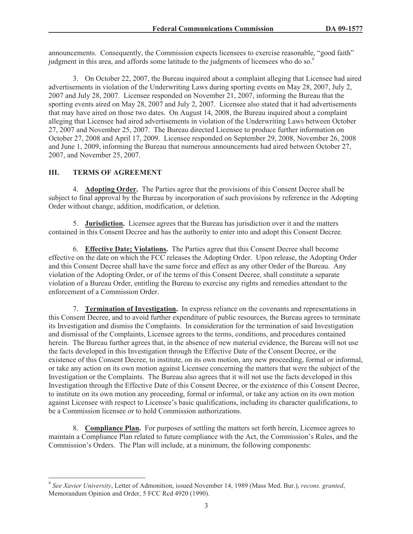announcements. Consequently, the Commission expects licensees to exercise reasonable, "good faith" judgment in this area, and affords some latitude to the judgments of licensees who do so.<sup>9</sup>

3. On October 22, 2007, the Bureau inquired about a complaint alleging that Licensee had aired advertisements in violation of the Underwriting Laws during sporting events on May 28, 2007, July 2, 2007 and July 28, 2007. Licensee responded on November 21, 2007, informing the Bureau that the sporting events aired on May 28, 2007 and July 2, 2007. Licensee also stated that it had advertisements that may have aired on those two dates. On August 14, 2008, the Bureau inquired about a complaint alleging that Licensee had aired advertisements in violation of the Underwriting Laws between October 27, 2007 and November 25, 2007. The Bureau directed Licensee to produce further information on October 27, 2008 and April 17, 2009. Licensee responded on September 29, 2008, November 26, 2008 and June 1, 2009, informing the Bureau that numerous announcements had aired between October 27, 2007, and November 25, 2007.

## **III. TERMS OF AGREEMENT**

4. **Adopting Order.** The Parties agree that the provisions of this Consent Decree shall be subject to final approval by the Bureau by incorporation of such provisions by reference in the Adopting Order without change, addition, modification, or deletion.

5. **Jurisdiction.** Licensee agrees that the Bureau has jurisdiction over it and the matters contained in this Consent Decree and has the authority to enter into and adopt this Consent Decree.

6. **Effective Date; Violations.** The Parties agree that this Consent Decree shall become effective on the date on which the FCC releases the Adopting Order. Upon release, the Adopting Order and this Consent Decree shall have the same force and effect as any other Order of the Bureau. Any violation of the Adopting Order, or of the terms of this Consent Decree, shall constitute a separate violation of a Bureau Order, entitling the Bureau to exercise any rights and remedies attendant to the enforcement of a Commission Order.

7. **Termination of Investigation.** In express reliance on the covenants and representations in this Consent Decree, and to avoid further expenditure of public resources, the Bureau agrees to terminate its Investigation and dismiss the Complaints. In consideration for the termination of said Investigation and dismissal of the Complaints, Licensee agrees to the terms, conditions, and procedures contained herein. The Bureau further agrees that, in the absence of new material evidence, the Bureau will not use the facts developed in this Investigation through the Effective Date of the Consent Decree, or the existence of this Consent Decree, to institute, on its own motion, any new proceeding, formal or informal, or take any action on its own motion against Licensee concerning the matters that were the subject of the Investigation or the Complaints. The Bureau also agrees that it will not use the facts developed in this Investigation through the Effective Date of this Consent Decree, or the existence of this Consent Decree, to institute on its own motion any proceeding, formal or informal, or take any action on its own motion against Licensee with respect to Licensee's basic qualifications, including its character qualifications, to be a Commission licensee or to hold Commission authorizations.

8. **Compliance Plan.** For purposes of settling the matters set forth herein, Licensee agrees to maintain a Compliance Plan related to future compliance with the Act, the Commission's Rules, and the Commission's Orders. The Plan will include, at a minimum, the following components:

<sup>9</sup> *See Xavier University*, Letter of Admonition, issued November 14, 1989 (Mass Med. Bur.), *recons. granted*, Memorandum Opinion and Order, 5 FCC Rcd 4920 (1990).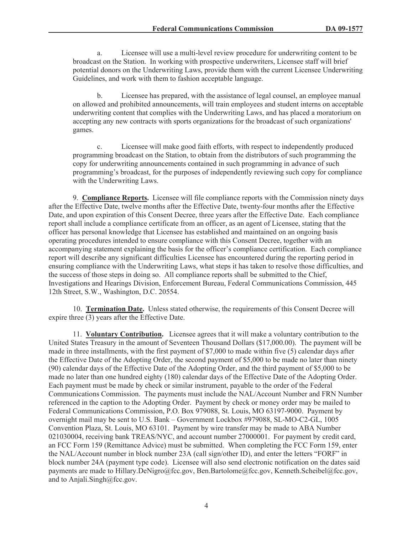a. Licensee will use a multi-level review procedure for underwriting content to be broadcast on the Station. In working with prospective underwriters, Licensee staff will brief potential donors on the Underwriting Laws, provide them with the current Licensee Underwriting Guidelines, and work with them to fashion acceptable language.

b. Licensee has prepared, with the assistance of legal counsel, an employee manual on allowed and prohibited announcements, will train employees and student interns on acceptable underwriting content that complies with the Underwriting Laws, and has placed a moratorium on accepting any new contracts with sports organizations for the broadcast of such organizations' games.

c. Licensee will make good faith efforts, with respect to independently produced programming broadcast on the Station, to obtain from the distributors of such programming the copy for underwriting announcements contained in such programming in advance of such programming's broadcast, for the purposes of independently reviewing such copy for compliance with the Underwriting Laws.

9. **Compliance Reports.** Licensee will file compliance reports with the Commission ninety days after the Effective Date, twelve months after the Effective Date, twenty-four months after the Effective Date, and upon expiration of this Consent Decree, three years after the Effective Date. Each compliance report shall include a compliance certificate from an officer, as an agent of Licensee, stating that the officer has personal knowledge that Licensee has established and maintained on an ongoing basis operating procedures intended to ensure compliance with this Consent Decree, together with an accompanying statement explaining the basis for the officer's compliance certification. Each compliance report will describe any significant difficulties Licensee has encountered during the reporting period in ensuring compliance with the Underwriting Laws, what steps it has taken to resolve those difficulties, and the success of those steps in doing so. All compliance reports shall be submitted to the Chief, Investigations and Hearings Division, Enforcement Bureau, Federal Communications Commission, 445 12th Street, S.W., Washington, D.C. 20554.

10. **Termination Date.** Unless stated otherwise, the requirements of this Consent Decree will expire three (3) years after the Effective Date.

11. **Voluntary Contribution.** Licensee agrees that it will make a voluntary contribution to the United States Treasury in the amount of Seventeen Thousand Dollars (\$17,000.00). The payment will be made in three installments, with the first payment of \$7,000 to made within five (5) calendar days after the Effective Date of the Adopting Order, the second payment of \$5,000 to be made no later than ninety (90) calendar days of the Effective Date of the Adopting Order, and the third payment of \$5,000 to be made no later than one hundred eighty (180) calendar days of the Effective Date of the Adopting Order. Each payment must be made by check or similar instrument, payable to the order of the Federal Communications Commission. The payments must include the NAL/Account Number and FRN Number referenced in the caption to the Adopting Order. Payment by check or money order may be mailed to Federal Communications Commission, P.O. Box 979088, St. Louis, MO 63197-9000. Payment by overnight mail may be sent to U.S. Bank – Government Lockbox #979088, SL-MO-C2-GL, 1005 Convention Plaza, St. Louis, MO 63101. Payment by wire transfer may be made to ABA Number 021030004, receiving bank TREAS/NYC, and account number 27000001. For payment by credit card, an FCC Form 159 (Remittance Advice) must be submitted. When completing the FCC Form 159, enter the NAL/Account number in block number 23A (call sign/other ID), and enter the letters "FORF" in block number 24A (payment type code). Licensee will also send electronic notification on the dates said payments are made to Hillary.DeNigro@fcc.gov, Ben.Bartolome@fcc.gov, Kenneth.Scheibel@fcc.gov, and to Anjali.Singh@fcc.gov.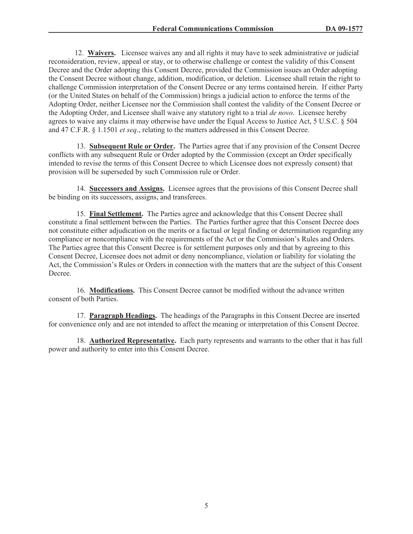12. **Waivers.** Licensee waives any and all rights it may have to seek administrative or judicial reconsideration, review, appeal or stay, or to otherwise challenge or contest the validity of this Consent Decree and the Order adopting this Consent Decree, provided the Commission issues an Order adopting the Consent Decree without change, addition, modification, or deletion. Licensee shall retain the right to challenge Commission interpretation of the Consent Decree or any terms contained herein. If either Party (or the United States on behalf of the Commission) brings a judicial action to enforce the terms of the Adopting Order, neither Licensee nor the Commission shall contest the validity of the Consent Decree or the Adopting Order, and Licensee shall waive any statutory right to a trial *de novo*. Licensee hereby agrees to waive any claims it may otherwise have under the Equal Access to Justice Act, 5 U.S.C. § 504 and 47 C.F.R. § 1.1501 *et seq*., relating to the matters addressed in this Consent Decree.

13. **Subsequent Rule or Order.** The Parties agree that if any provision of the Consent Decree conflicts with any subsequent Rule or Order adopted by the Commission (except an Order specifically intended to revise the terms of this Consent Decree to which Licensee does not expressly consent) that provision will be superseded by such Commission rule or Order.

14. **Successors and Assigns.** Licensee agrees that the provisions of this Consent Decree shall be binding on its successors, assigns, and transferees.

15. **Final Settlement.** The Parties agree and acknowledge that this Consent Decree shall constitute a final settlement between the Parties. The Parties further agree that this Consent Decree does not constitute either adjudication on the merits or a factual or legal finding or determination regarding any compliance or noncompliance with the requirements of the Act or the Commission's Rules and Orders. The Parties agree that this Consent Decree is for settlement purposes only and that by agreeing to this Consent Decree, Licensee does not admit or deny noncompliance, violation or liability for violating the Act, the Commission's Rules or Orders in connection with the matters that are the subject of this Consent Decree.

16. **Modifications.** This Consent Decree cannot be modified without the advance written consent of both Parties.

17. **Paragraph Headings.** The headings of the Paragraphs in this Consent Decree are inserted for convenience only and are not intended to affect the meaning or interpretation of this Consent Decree.

18. **Authorized Representative.** Each party represents and warrants to the other that it has full power and authority to enter into this Consent Decree.